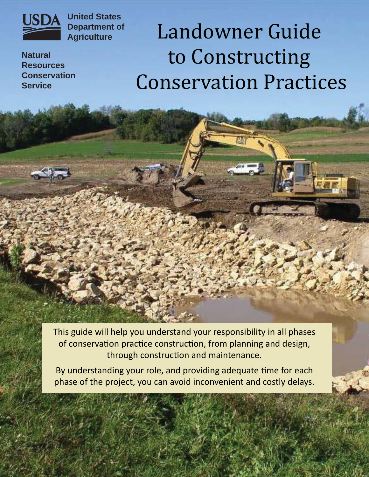

**United States Department of Agriculture**

**Natural Resources Conservation Service**

# Landowner Guide to Constructing Conservation Practices

This guide will help you understand your responsibility in all phases of conservation practice construction, from planning and design, through construction and maintenance.

By understanding your role, and providing adequate time for each phase of the project, you can avoid inconvenient and costly delays.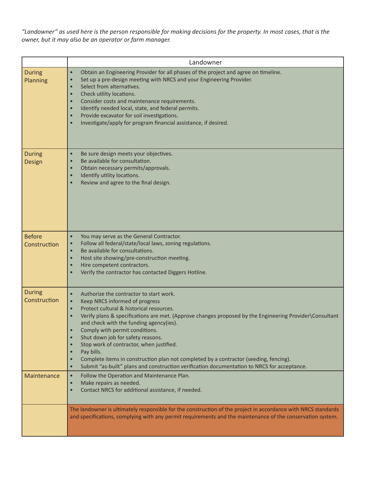*"Landowner" as used here is the person responsible for making decisions for the property. In most cases, that is the owner, but it may also be an operator or farm manager.*

|                               | Landowner                                                                                                                                                                                                                                                                                                                                                                                                                                                                                                                                                                                                                                                                                                                 |  |
|-------------------------------|---------------------------------------------------------------------------------------------------------------------------------------------------------------------------------------------------------------------------------------------------------------------------------------------------------------------------------------------------------------------------------------------------------------------------------------------------------------------------------------------------------------------------------------------------------------------------------------------------------------------------------------------------------------------------------------------------------------------------|--|
| <b>During</b><br>Planning     | Obtain an Engineering Provider for all phases of the project and agree on timeline.<br>$\bullet$<br>Set up a pre-design meeting with NRCS and your Engineering Provider.<br>$\bullet$<br>Select from alternatives.<br>$\bullet$<br>Check utility locations.<br>$\bullet$<br>Consider costs and maintenance requirements.<br>$\bullet$<br>Identify needed local, state, and federal permits.<br>$\bullet$<br>Provide excavator for soil investigations.<br>$\bullet$<br>Investigate/apply for program financial assistance, if desired.<br>$\bullet$                                                                                                                                                                       |  |
| <b>During</b><br>Design       | Be sure design meets your objectives.<br>$\bullet$<br>Be available for consultation.<br>$\bullet$<br>Obtain necessary permits/approvals.<br>$\bullet$<br>Identify utility locations.<br>$\bullet$<br>Review and agree to the final design.<br>$\bullet$                                                                                                                                                                                                                                                                                                                                                                                                                                                                   |  |
| <b>Before</b><br>Construction | You may serve as the General Contractor.<br>$\bullet$<br>Follow all federal/state/local laws, zoning regulations.<br>$\bullet$<br>Be available for consultations.<br>$\bullet$<br>Host site showing/pre-construction meeting.<br>$\bullet$<br>Hire competent contractors.<br>$\bullet$<br>Verify the contractor has contacted Diggers Hotline.<br>$\bullet$                                                                                                                                                                                                                                                                                                                                                               |  |
| <b>During</b><br>Construction | Authorize the contractor to start work.<br>$\bullet$<br>Keep NRCS informed of progress<br>$\bullet$<br>Protect cultural & historical resources.<br>$\bullet$<br>Verify plans & specifications are met. (Approve changes proposed by the Engineering Provider\Consultant<br>$\bullet$<br>and check with the funding agency(ies).<br>Comply with permit conditions.<br>$\bullet$<br>Shut down job for safety reasons.<br>Stop work of contractor, when justified.<br>$\bullet$<br>Pay bills.<br>$\bullet$<br>Complete items in construction plan not completed by a contractor (seeding, fencing).<br>$\bullet$<br>Submit "as-built" plans and construction verification documentation to NRCS for acceptance.<br>$\bullet$ |  |
| Maintenance                   | Follow the Operation and Maintenance Plan.<br>$\bullet$<br>Make repairs as needed.<br>$\bullet$<br>Contact NRCS for additional assistance, if needed.<br>$\bullet$                                                                                                                                                                                                                                                                                                                                                                                                                                                                                                                                                        |  |
|                               | The landowner is ultimately responsible for the construction of the project in accordance with NRCS standards<br>and specifications, complying with any permit requirements and the maintenance of the conservation system.                                                                                                                                                                                                                                                                                                                                                                                                                                                                                               |  |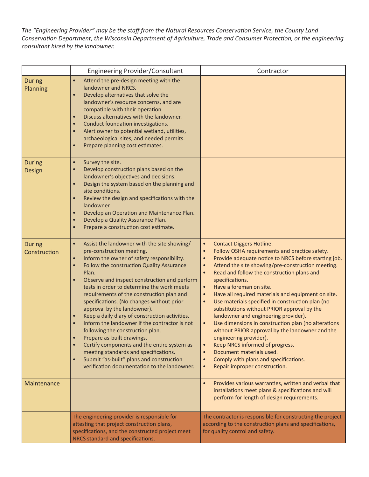*The "Engineering Provider" may be the staff from the Natural Resources Conservation Service, the County Land ConservaƟ on Department, the Wisconsin Department of Agriculture, Trade and Consumer ProtecƟ on, or the engineering consultant hired by the landowner.*

|                               | <b>Engineering Provider/Consultant</b>                                                                                                                                                                                                                                                                                                                                                                                                                                                                                                                                                                                                                                                                                                                                                                                                                  | Contractor                                                                                                                                                                                                                                                                                                                                                                                                                                                                                                                                                                                                                                                                                                                                                                                                                                                                                                                                       |
|-------------------------------|---------------------------------------------------------------------------------------------------------------------------------------------------------------------------------------------------------------------------------------------------------------------------------------------------------------------------------------------------------------------------------------------------------------------------------------------------------------------------------------------------------------------------------------------------------------------------------------------------------------------------------------------------------------------------------------------------------------------------------------------------------------------------------------------------------------------------------------------------------|--------------------------------------------------------------------------------------------------------------------------------------------------------------------------------------------------------------------------------------------------------------------------------------------------------------------------------------------------------------------------------------------------------------------------------------------------------------------------------------------------------------------------------------------------------------------------------------------------------------------------------------------------------------------------------------------------------------------------------------------------------------------------------------------------------------------------------------------------------------------------------------------------------------------------------------------------|
| <b>During</b><br>Planning     | Attend the pre-design meeting with the<br>$\bullet$<br>landowner and NRCS.<br>Develop alternatives that solve the<br>$\bullet$<br>landowner's resource concerns, and are<br>compatible with their operation.<br>Discuss alternatives with the landowner.<br>$\bullet$<br>Conduct foundation investigations.<br>$\bullet$<br>Alert owner to potential wetland, utilities,<br>$\bullet$<br>archaeological sites, and needed permits.<br>Prepare planning cost estimates.<br>$\bullet$                                                                                                                                                                                                                                                                                                                                                                     |                                                                                                                                                                                                                                                                                                                                                                                                                                                                                                                                                                                                                                                                                                                                                                                                                                                                                                                                                  |
| <b>During</b><br>Design       | Survey the site.<br>$\bullet$<br>Develop construction plans based on the<br>landowner's objectives and decisions.<br>Design the system based on the planning and<br>$\bullet$<br>site conditions.<br>Review the design and specifications with the<br>$\bullet$<br>landowner.<br>Develop an Operation and Maintenance Plan.<br>$\bullet$<br>Develop a Quality Assurance Plan.<br>$\bullet$<br>Prepare a construction cost estimate.<br>$\bullet$                                                                                                                                                                                                                                                                                                                                                                                                        |                                                                                                                                                                                                                                                                                                                                                                                                                                                                                                                                                                                                                                                                                                                                                                                                                                                                                                                                                  |
| <b>During</b><br>Construction | Assist the landowner with the site showing/<br>$\bullet$<br>pre-construction meeting.<br>Inform the owner of safety responsibility.<br>$\bullet$<br>Follow the construction Quality Assurance<br>$\bullet$<br>Plan.<br>Observe and inspect construction and perform<br>$\bullet$<br>tests in order to determine the work meets<br>requirements of the construction plan and<br>specifications. (No changes without prior<br>approval by the landowner).<br>Keep a daily diary of construction activities.<br>$\bullet$<br>Inform the landowner if the contractor is not<br>$\bullet$<br>following the construction plan.<br>Prepare as-built drawings.<br>Certify components and the entire system as<br>meeting standards and specifications.<br>Submit "as-built" plans and construction<br>$\bullet$<br>verification documentation to the landowner. | <b>Contact Diggers Hotline.</b><br>$\bullet$<br>Follow OSHA requirements and practice safety.<br>$\bullet$<br>Provide adequate notice to NRCS before starting job.<br>$\bullet$<br>Attend the site showing/pre-construction meeting.<br>$\bullet$<br>$\bullet$<br>Read and follow the construction plans and<br>specifications.<br>Have a foreman on site.<br>$\bullet$<br>Have all required materials and equipment on site.<br>$\bullet$<br>Use materials specified in construction plan (no<br>$\bullet$<br>substitutions without PRIOR approval by the<br>landowner and engineering provider).<br>Use dimensions in construction plan (no alterations<br>$\bullet$<br>without PRIOR approval by the landowner and the<br>engineering provider).<br>Keep NRCS informed of progress.<br>$\bullet$<br>Document materials used.<br>$\bullet$<br>Comply with plans and specifications.<br>$\bullet$<br>Repair improper construction.<br>$\bullet$ |
| Maintenance                   |                                                                                                                                                                                                                                                                                                                                                                                                                                                                                                                                                                                                                                                                                                                                                                                                                                                         | Provides various warranties, written and verbal that<br>$\bullet$<br>installations meet plans & specifications and will<br>perform for length of design requirements.                                                                                                                                                                                                                                                                                                                                                                                                                                                                                                                                                                                                                                                                                                                                                                            |
|                               | The engineering provider is responsible for<br>attesting that project construction plans,<br>specifications, and the constructed project meet<br>NRCS standard and specifications.                                                                                                                                                                                                                                                                                                                                                                                                                                                                                                                                                                                                                                                                      | The contractor is responsible for constructing the project<br>according to the construction plans and specifications,<br>for quality control and safety.                                                                                                                                                                                                                                                                                                                                                                                                                                                                                                                                                                                                                                                                                                                                                                                         |